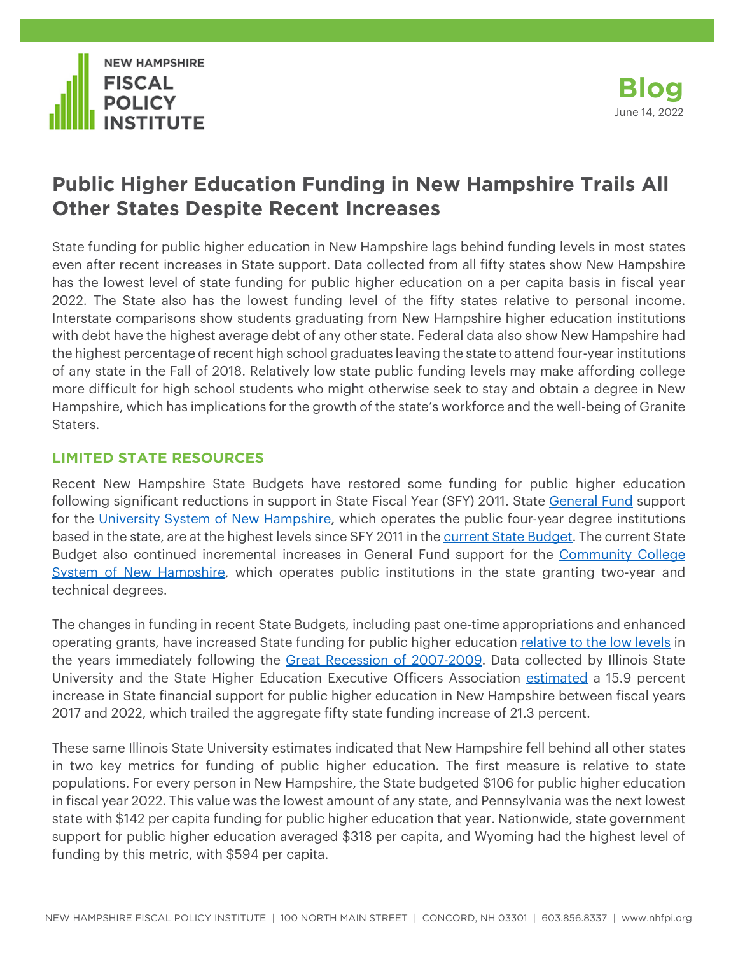



# **Public Higher Education Funding in New Hampshire Trails All Other States Despite Recent Increases**

State funding for public higher education in New Hampshire lags behind funding levels in most states even after recent increases in State support. Data collected from all fifty states show New Hampshire has the lowest level of state funding for public higher education on a per capita basis in fiscal year 2022. The State also has the lowest funding level of the fifty states relative to personal income. Interstate comparisons show students graduating from New Hampshire higher education institutions with debt have the highest average debt of any other state. Federal data also show New Hampshire had the highest percentage of recent high school graduates leaving the state to attend four-year institutions of any state in the Fall of 2018. Relatively low state public funding levels may make affording college more difficult for high school students who might otherwise seek to stay and obtain a degree in New Hampshire, which has implications for the growth of the state's workforce and the well-being of Granite Staters.

## **LIMITED STATE RESOURCES**

Recent New Hampshire State Budgets have restored some funding for public higher education following significant reductions in support in State Fiscal Year (SFY) 2011. State [General Fund](http://nhfpi.org/wp-content/uploads/2017/03/NHFPI_Building-The-Budget_February2017.pdf#Page=12) support for the [University System of New Hampshire,](https://www.usnh.edu/about) which operates the public four-year degree institutions based in the state, are at the highest levels since SFY 2011 in the [current State Budget.](https://nhfpi.org/resource/the-state-budget-for-fiscal-years-2022-and-2023/) The current State Budget also continued incremental increases in General Fund support for the [Community College](https://www.ccsnh.edu/about-ccsnh/)  [System of New Hampshire,](https://www.ccsnh.edu/about-ccsnh/) which operates public institutions in the state granting two-year and technical degrees.

The changes in funding in recent State Budgets, including past one-time appropriations and enhanced operating grants, have increased State funding for public higher education [relative to the low levels](https://nhfpi.org/blog/new-hampshire-trails-in-higher-education-funding/) in the years immediately following the [Great Recession of 2007-2009.](https://www.nber.org/news/business-cycle-dating-committee-announcement-september-20-2010) Data collected by Illinois State University and the State Higher Education Executive Officers Association [estimated](https://shef.sheeo.org/grapevine) a 15.9 percent increase in State financial support for public higher education in New Hampshire between fiscal years 2017 and 2022, which trailed the aggregate fifty state funding increase of 21.3 percent.

These same Illinois State University estimates indicated that New Hampshire fell behind all other states in two key metrics for funding of public higher education. The first measure is relative to state populations. For every person in New Hampshire, the State budgeted \$106 for public higher education in fiscal year 2022. This value was the lowest amount of any state, and Pennsylvania was the next lowest state with \$142 per capita funding for public higher education that year. Nationwide, state government support for public higher education averaged \$318 per capita, and Wyoming had the highest level of funding by this metric, with \$594 per capita.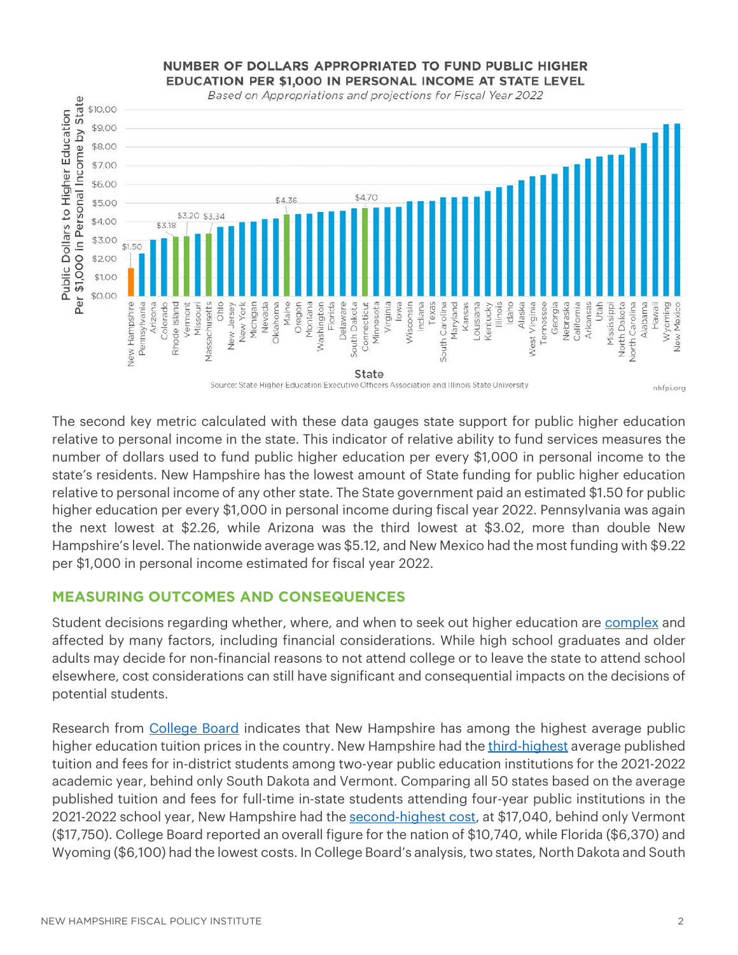### NUMBER OF DOLLARS APPROPRIATED TO FUND PUBLIC HIGHER EDUCATION PER \$1,000 IN PERSONAL INCOME AT STATE LEVEL



The second key metric calculated with these data gauges state support for public higher education relative to personal income in the state. This indicator of relative ability to fund services measures the number of dollars used to fund public higher education per every \$1,000 in personal income to the state's residents. New Hampshire has the lowest amount of State funding for public higher education relative to personal income of any other state. The State government paid an estimated \$1.50 for public higher education per every \$1,000 in personal income during fiscal year 2022. Pennsylvania was again the next lowest at \$2.26, while Arizona was the third lowest at \$3.02, more than double New Hampshire's level. The nationwide average was \$5.12, and New Mexico had the most funding with \$9.22 per \$1,000 in personal income estimated for fiscal year 2022.

## **MEASURING OUTCOMES AND CONSEQUENCES**

Student decisions regarding whether, where, and when to seek out higher education are [complex](https://files.eric.ed.gov/fulltext/ED484237.pdf) and affected by many factors, including financial considerations. While high school graduates and older adults may decide for non-financial reasons to not attend college or to leave the state to attend school elsewhere, cost considerations can still have significant and consequential impacts on the decisions of potential students.

Research from [College Board](https://research.collegeboard.org/trends/college-pricing/highlights) indicates that New Hampshire has among the highest average public higher education tuition prices in the country. New Hampshire had the [third-highest](https://research.collegeboard.org/media/pdf/trends-college-pricing-student-aid-2021.pdf#%5B%7B%22num%22%3A43%2C%22gen%22%3A0%7D%2C%7B%22name%22%3A%22Fit%22%7D%5D) average published tuition and fees for in-district students among two-year public education institutions for the 2021-2022 academic year, behind only South Dakota and Vermont. Comparing all 50 states based on the average published tuition and fees for full-time in-state students attending four-year public institutions in the 2021-2022 school year, New Hampshire had the [second-highest cost,](https://research.collegeboard.org/media/pdf/trends-college-pricing-student-aid-2021.pdf#%5B%7B%22num%22%3A45%2C%22gen%22%3A0%7D%2C%7B%22name%22%3A%22Fit%22%7D%5D) at \$17,040, behind only Vermont (\$17,750). College Board reported an overall figure for the nation of \$10,740, while Florida (\$6,370) and Wyoming (\$6,100) had the lowest costs. In College Board's analysis, two states, North Dakota and South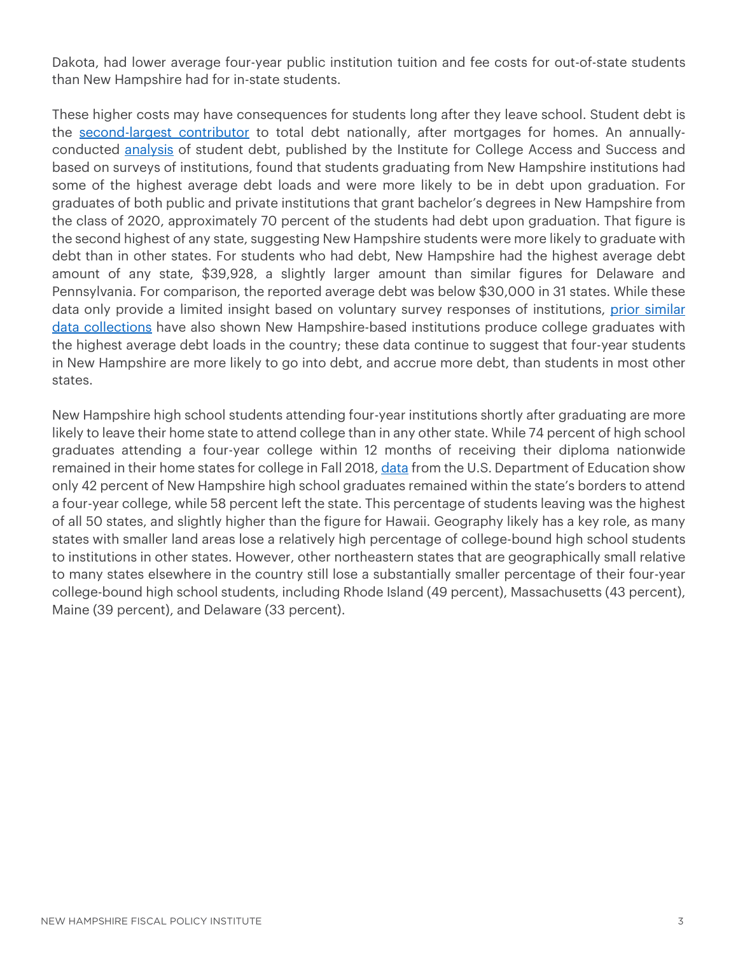Dakota, had lower average four-year public institution tuition and fee costs for out-of-state students than New Hampshire had for in-state students.

These higher costs may have consequences for students long after they leave school. Student debt is the [second-largest contributor](https://www.newyorkfed.org/medialibrary/interactives/householdcredit/data/pdf/HHDC_2022Q1#page=7) to total debt nationally, after mortgages for homes. An annuallyconducted [analysis](https://ticas.org/wp-content/uploads/2021/11/classof2020.pdf) of student debt, published by the Institute for College Access and Success and based on surveys of institutions, found that students graduating from New Hampshire institutions had some of the highest average debt loads and were more likely to be in debt upon graduation. For graduates of both public and private institutions that grant bachelor's degrees in New Hampshire from the class of 2020, approximately 70 percent of the students had debt upon graduation. That figure is the second highest of any state, suggesting New Hampshire students were more likely to graduate with debt than in other states. For students who had debt, New Hampshire had the highest average debt amount of any state, \$39,928, a slightly larger amount than similar figures for Delaware and Pennsylvania. For comparison, the reported average debt was below \$30,000 in 31 states. While these data only provide a limited insight based on voluntary survey responses of institutions, prior similar [data collections](https://nhfpi.org/blog/state-funding-for-higher-education-still-below-pre-recession-levels/) have also shown New Hampshire-based institutions produce college graduates with the highest average debt loads in the country; these data continue to suggest that four-year students in New Hampshire are more likely to go into debt, and accrue more debt, than students in most other states.

New Hampshire high school students attending four-year institutions shortly after graduating are more likely to leave their home state to attend college than in any other state. While 74 percent of high school graduates attending a four-year college within 12 months of receiving their diploma nationwide remained in their home states for college in Fall 2018, [data](https://nces.ed.gov/programs/digest/d20/tables/dt20_309.30.asp) from the U.S. Department of Education show only 42 percent of New Hampshire high school graduates remained within the state's borders to attend a four-year college, while 58 percent left the state. This percentage of students leaving was the highest of all 50 states, and slightly higher than the figure for Hawaii. Geography likely has a key role, as many states with smaller land areas lose a relatively high percentage of college-bound high school students to institutions in other states. However, other northeastern states that are geographically small relative to many states elsewhere in the country still lose a substantially smaller percentage of their four-year college-bound high school students, including Rhode Island (49 percent), Massachusetts (43 percent), Maine (39 percent), and Delaware (33 percent).